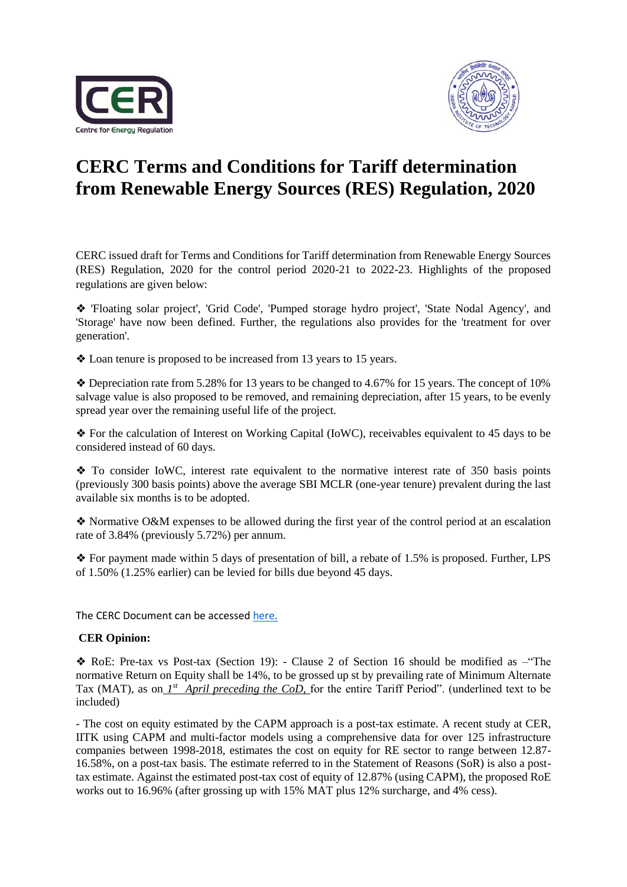



## **CERC Terms and Conditions for Tariff determination from Renewable Energy Sources (RES) Regulation, 2020**

CERC issued draft for Terms and Conditions for Tariff determination from Renewable Energy Sources (RES) Regulation, 2020 for the control period 2020-21 to 2022-23. Highlights of the proposed regulations are given below:

❖ 'Floating solar project', 'Grid Code', 'Pumped storage hydro project', 'State Nodal Agency', and 'Storage' have now been defined. Further, the regulations also provides for the 'treatment for over generation'.

❖ Loan tenure is proposed to be increased from 13 years to 15 years.

❖ Depreciation rate from 5.28% for 13 years to be changed to 4.67% for 15 years. The concept of 10% salvage value is also proposed to be removed, and remaining depreciation, after 15 years, to be evenly spread year over the remaining useful life of the project.

❖ For the calculation of Interest on Working Capital (IoWC), receivables equivalent to 45 days to be considered instead of 60 days.

❖ To consider IoWC, interest rate equivalent to the normative interest rate of 350 basis points (previously 300 basis points) above the average SBI MCLR (one-year tenure) prevalent during the last available six months is to be adopted.

❖ Normative O&M expenses to be allowed during the first year of the control period at an escalation rate of 3.84% (previously 5.72%) per annum.

❖ For payment made within 5 days of presentation of bill, a rebate of 1.5% is proposed. Further, LPS of 1.50% (1.25% earlier) can be levied for bills due beyond 45 days.

The CERC Document can be accessed [here.](http://www.cercind.gov.in/2020/draft_reg/DR-29.04.2020.pdf)

## **CER Opinion:**

❖ RoE: Pre-tax vs Post-tax (Section 19): - Clause 2 of Section 16 should be modified as –"The normative Return on Equity shall be 14%, to be grossed up st by prevailing rate of Minimum Alternate Tax (MAT), as on *1<sup>st</sup>* April preceding the CoD, for the entire Tariff Period". (underlined text to be included)

- The cost on equity estimated by the CAPM approach is a post-tax estimate. A recent study at CER, IITK using CAPM and multi-factor models using a comprehensive data for over 125 infrastructure companies between 1998-2018, estimates the cost on equity for RE sector to range between 12.87- 16.58%, on a post-tax basis. The estimate referred to in the Statement of Reasons (SoR) is also a posttax estimate. Against the estimated post-tax cost of equity of 12.87% (using CAPM), the proposed RoE works out to 16.96% (after grossing up with 15% MAT plus 12% surcharge, and 4% cess).